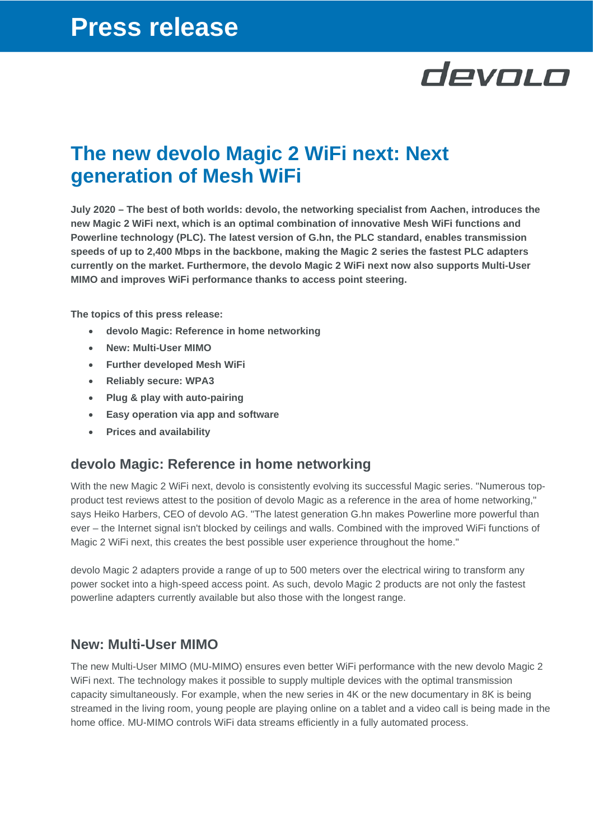# devolo

## **The new devolo Magic 2 WiFi next: Next generation of Mesh WiFi**

**July 2020 – The best of both worlds: devolo, the networking specialist from Aachen, introduces the new Magic 2 WiFi next, which is an optimal combination of innovative Mesh WiFi functions and Powerline technology (PLC). The latest version of G.hn, the PLC standard, enables transmission speeds of up to 2,400 Mbps in the backbone, making the Magic 2 series the fastest PLC adapters currently on the market. Furthermore, the devolo Magic 2 WiFi next now also supports Multi-User MIMO and improves WiFi performance thanks to access point steering.**

**The topics of this press release:**

- **devolo Magic: Reference in home networking**
- **New: Multi-User MIMO**
- **Further developed Mesh WiFi**
- **Reliably secure: WPA3**
- **Plug & play with auto-pairing**
- **Easy operation via app and software**
- **Prices and availability**

#### **devolo Magic: Reference in home networking**

With the new Magic 2 WiFi next, devolo is consistently evolving its successful Magic series. "Numerous topproduct test reviews attest to the position of devolo Magic as a reference in the area of home networking," says Heiko Harbers, CEO of devolo AG. "The latest generation G.hn makes Powerline more powerful than ever – the Internet signal isn't blocked by ceilings and walls. Combined with the improved WiFi functions of Magic 2 WiFi next, this creates the best possible user experience throughout the home."

devolo Magic 2 adapters provide a range of up to 500 meters over the electrical wiring to transform any power socket into a high-speed access point. As such, devolo Magic 2 products are not only the fastest powerline adapters currently available but also those with the longest range.

#### **New: Multi-User MIMO**

The new Multi-User MIMO (MU-MIMO) ensures even better WiFi performance with the new devolo Magic 2 WiFi next. The technology makes it possible to supply multiple devices with the optimal transmission capacity simultaneously. For example, when the new series in 4K or the new documentary in 8K is being streamed in the living room, young people are playing online on a tablet and a video call is being made in the home office. MU-MIMO controls WiFi data streams efficiently in a fully automated process.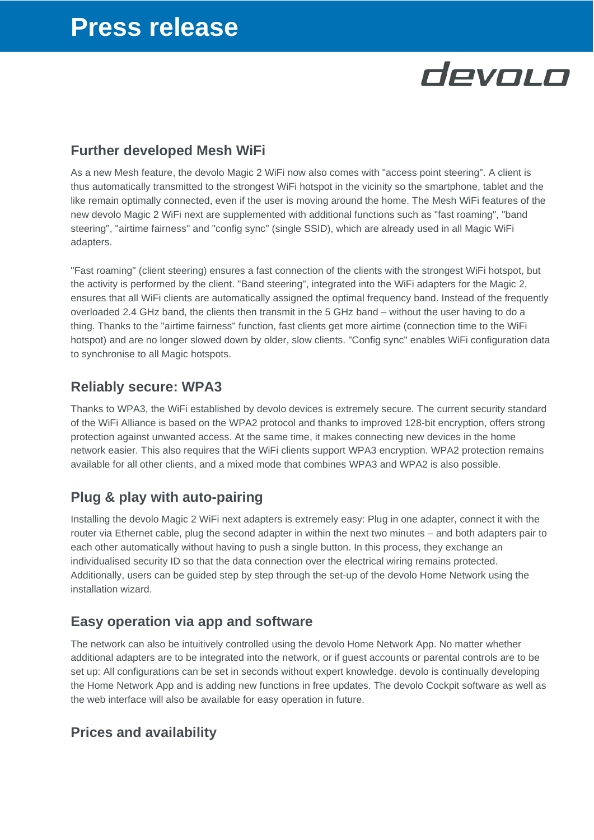# **Press release**

# devolo

## **Further developed Mesh WiFi**

As a new Mesh feature, the devolo Magic 2 WiFi now also comes with "access point steering". A client is thus automatically transmitted to the strongest WiFi hotspot in the vicinity so the smartphone, tablet and the like remain optimally connected, even if the user is moving around the home. The Mesh WiFi features of the new devolo Magic 2 WiFi next are supplemented with additional functions such as "fast roaming", "band steering", "airtime fairness" and "config sync" (single SSID), which are already used in all Magic WiFi adapters.

"Fast roaming" (client steering) ensures a fast connection of the clients with the strongest WiFi hotspot, but the activity is performed by the client. "Band steering", integrated into the WiFi adapters for the Magic 2, ensures that all WiFi clients are automatically assigned the optimal frequency band. Instead of the frequently overloaded 2.4 GHz band, the clients then transmit in the 5 GHz band – without the user having to do a thing. Thanks to the "airtime fairness" function, fast clients get more airtime (connection time to the WiFi hotspot) and are no longer slowed down by older, slow clients. "Config sync" enables WiFi configuration data to synchronise to all Magic hotspots.

### **Reliably secure: WPA3**

Thanks to WPA3, the WiFi established by devolo devices is extremely secure. The current security standard of the WiFi Alliance is based on the WPA2 protocol and thanks to improved 128-bit encryption, offers strong protection against unwanted access. At the same time, it makes connecting new devices in the home network easier. This also requires that the WiFi clients support WPA3 encryption. WPA2 protection remains available for all other clients, and a mixed mode that combines WPA3 and WPA2 is also possible.

### **Plug & play with auto-pairing**

Installing the devolo Magic 2 WiFi next adapters is extremely easy: Plug in one adapter, connect it with the router via Ethernet cable, plug the second adapter in within the next two minutes – and both adapters pair to each other automatically without having to push a single button. In this process, they exchange an individualised security ID so that the data connection over the electrical wiring remains protected. Additionally, users can be guided step by step through the set-up of the devolo Home Network using the installation wizard.

### **Easy operation via app and software**

The network can also be intuitively controlled using the devolo Home Network App. No matter whether additional adapters are to be integrated into the network, or if guest accounts or parental controls are to be set up: All configurations can be set in seconds without expert knowledge. devolo is continually developing the Home Network App and is adding new functions in free updates. The devolo Cockpit software as well as the web interface will also be available for easy operation in future.

## **Prices and availability**